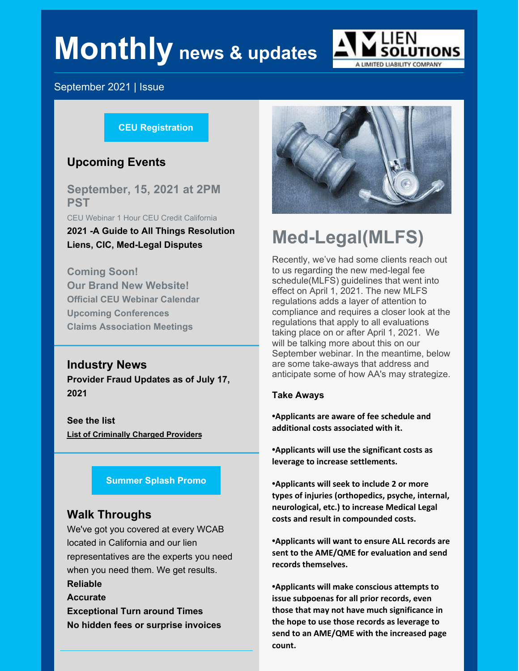# **Monthly news & updates**



### September 2021 | Issue

#### **CEU [Registration](https://events.r20.constantcontact.com/register/eventReg?oeidk=a07eiha96jj0bf54fa9&oseq=&c=&ch=)**

# **Upcoming Events**

**September, 15, 2021 at 2PM PST**

CEU Webinar 1 Hour CEU Credit California

**2021 -A Guide to All Things Resolution Liens, CIC, Med-Legal Disputes**

**Coming Soon! Our Brand New Website! Official CEU Webinar Calendar Upcoming Conferences Claims Association Meetings**

# **Industry News Provider Fraud Updates as of July 17, 2021**

**See the list List of [Criminally](https://files.constantcontact.com/6caa48b3801/12df1f01-6e3a-4385-825a-85f39b177a14.pdf?rdr=true) Charged Providers**

#### **[Summer](https://files.constantcontact.com/6caa48b3801/a67ff10b-d882-4c64-bace-eb3b9843d373.pdf?rdr=true) Splash Promo**

# **Walk Throughs**

We've got you covered at every WCAB located in California and our lien representatives are the experts you need when you need them. We get results. **Reliable Accurate**

**Exceptional Turn around Times No hidden fees or surprise invoices**



# **Med-Legal(MLFS)**

Recently, we've had some clients reach out to us regarding the new med-legal fee schedule(MLFS) guidelines that went into effect on April 1, 2021. The new MLFS regulations adds a layer of attention to compliance and requires a closer look at the regulations that apply to all evaluations taking place on or after April 1, 2021. We will be talking more about this on our September webinar. In the meantime, below are some take-aways that address and anticipate some of how AA's may strategize.

#### **Take Aways**

**•Applicants are aware of fee schedule and additional costs associated with it.**

**•Applicants will use the significant costs as leverage to increase settlements.**

**•Applicants will seek to include 2 or more types of injuries (orthopedics, psyche, internal, neurological, etc.) to increase Medical Legal costs and result in compounded costs.**

**•Applicants will want to ensure ALL records are sent to the AME/QME for evaluation and send records themselves.**

**•Applicants will make conscious attempts to issue subpoenas for all prior records, even those that may not have much significance in the hope to use those records as leverage to send to an AME/QME with the increased page count.**